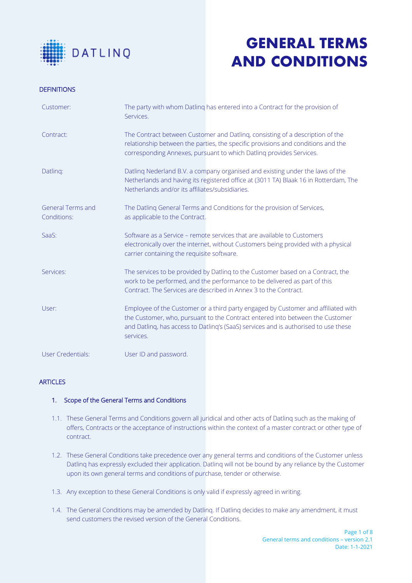

### **DEFINITIONS**

| Customer:                               | The party with whom Datling has entered into a Contract for the provision of<br>Services.                                                                                                                                                                              |
|-----------------------------------------|------------------------------------------------------------------------------------------------------------------------------------------------------------------------------------------------------------------------------------------------------------------------|
| Contract:                               | The Contract between Customer and Datling, consisting of a description of the<br>relationship between the parties, the specific provisions and conditions and the<br>corresponding Annexes, pursuant to which Datling provides Services.                               |
| Datling:                                | Datling Nederland B.V. a company organised and existing under the laws of the<br>Netherlands and having its registered office at (3011 TA) Blaak 16 in Rotterdam, The<br>Netherlands and/or its affiliates/subsidiaries.                                               |
| <b>General Terms and</b><br>Conditions: | The Datling General Terms and Conditions for the provision of Services,<br>as applicable to the Contract.                                                                                                                                                              |
| SaaS:                                   | Software as a Service – remote services that are available to Customers<br>electronically over the internet, without Customers being provided with a physical<br>carrier containing the requisite software.                                                            |
| Services:                               | The services to be provided by Datling to the Customer based on a Contract, the<br>work to be performed, and the performance to be delivered as part of this<br>Contract. The Services are described in Annex 3 to the Contract.                                       |
| User:                                   | Employee of the Customer or a third party engaged by Customer and affiliated with<br>the Customer, who, pursuant to the Contract entered into between the Customer<br>and Datling, has access to Datling's (SaaS) services and is authorised to use these<br>services. |
| <b>User Credentials:</b>                | User ID and password.                                                                                                                                                                                                                                                  |

### **ARTICLES**

### 1. Scope of the General Terms and Conditions

- 1.1. These General Terms and Conditions govern all juridical and other acts of Datlinq such as the making of offers, Contracts or the acceptance of instructions within the context of a master contract or other type of contract.
- 1.2. These General Conditions take precedence over any general terms and conditions of the Customer unless Datlinq has expressly excluded their application. Datlinq will not be bound by any reliance by the Customer upon its own general terms and conditions of purchase, tender or otherwise.
- 1.3. Any exception to these General Conditions is only valid if expressly agreed in writing.
- 1.4. The General Conditions may be amended by Datlinq. If Datlinq decides to make any amendment, it must send customers the revised version of the General Conditions.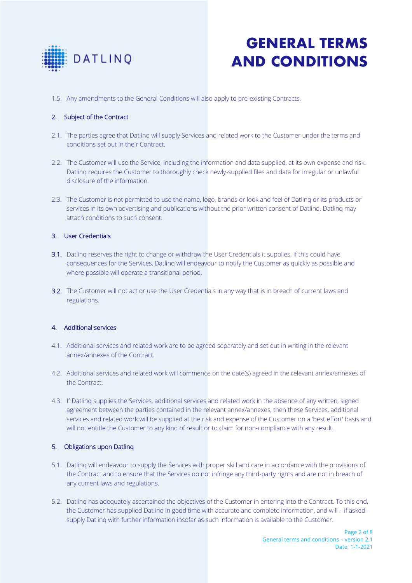

1.5. Any amendments to the General Conditions will also apply to pre-existing Contracts.

## 2. Subject of the Contract

- 2.1. The parties agree that Datlinq will supply Services and related work to the Customer under the terms and conditions set out in their Contract.
- 2.2. The Customer will use the Service, including the information and data supplied, at its own expense and risk. Datlinq requires the Customer to thoroughly check newly-supplied files and data for irregular or unlawful disclosure of the information.
- 2.3. The Customer is not permitted to use the name, logo, brands or look and feel of Datlinq or its products or services in its own advertising and publications without the prior written consent of Datlinq. Datlinq may attach conditions to such consent.

### 3. User Credentials

- 3.1. Datling reserves the right to change or withdraw the User Credentials it supplies. If this could have consequences for the Services, Datlinq will endeavour to notify the Customer as quickly as possible and where possible will operate a transitional period.
- 3.2. The Customer will not act or use the User Credentials in any way that is in breach of current laws and regulations.

### 4. Additional services

- 4.1. Additional services and related work are to be agreed separately and set out in writing in the relevant annex/annexes of the Contract.
- 4.2. Additional services and related work will commence on the date(s) agreed in the relevant annex/annexes of the Contract.
- 4.3. If Datlinq supplies the Services, additional services and related work in the absence of any written, signed agreement between the parties contained in the relevant annex/annexes, then these Services, additional services and related work will be supplied at the risk and expense of the Customer on a 'best effort' basis and will not entitle the Customer to any kind of result or to claim for non-compliance with any result.

### 5. Obligations upon Datlinq

- 5.1. Datlinq will endeavour to supply the Services with proper skill and care in accordance with the provisions of the Contract and to ensure that the Services do not infringe any third-party rights and are not in breach of any current laws and regulations.
- 5.2. Datlinq has adequately ascertained the objectives of the Customer in entering into the Contract. To this end, the Customer has supplied Datlinq in good time with accurate and complete information, and will – if asked – supply Datlinq with further information insofar as such information is available to the Customer.

Page 2 of 8 General terms and conditions – version 2.1 Date: 1-1-2021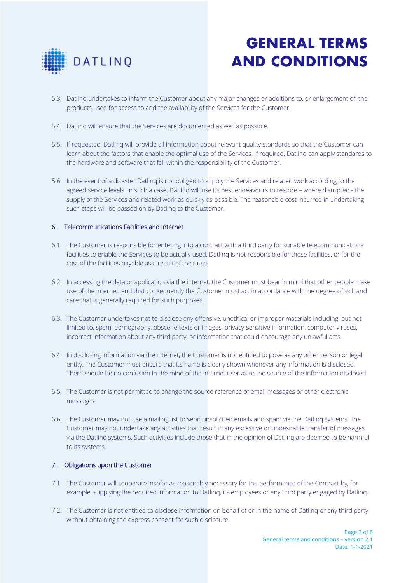

- 5.3. Datlinq undertakes to inform the Customer about any major changes or additions to, or enlargement of, the products used for access to and the availability of the Services for the Customer.
- 5.4. Datlinq will ensure that the Services are documented as well as possible.
- 5.5. If requested, Datlinq will provide all information about relevant quality standards so that the Customer can learn about the factors that enable the optimal use of the Services. If required, Datlinq can apply standards to the hardware and software that fall within the responsibility of the Customer.
- 5.6. In the event of a disaster Datlinq is not obliged to supply the Services and related work according to the agreed service levels. In such a case, Datlinq will use its best endeavours to restore – where disrupted - the supply of the Services and related work as quickly as possible. The reasonable cost incurred in undertaking such steps will be passed on by Datlinq to the Customer.

### 6. Telecommunications Facilities and Internet

- 6.1. The Customer is responsible for entering into a contract with a third party for suitable telecommunications facilities to enable the Services to be actually used. Datlinq is not responsible for these facilities, or for the cost of the facilities payable as a result of their use.
- 6.2. In accessing the data or application via the internet, the Customer must bear in mind that other people make use of the internet, and that consequently the Customer must act in accordance with the degree of skill and care that is generally required for such purposes.
- 6.3. The Customer undertakes not to disclose any offensive, unethical or improper materials including, but not limited to, spam, pornography, obscene texts or images, privacy-sensitive information, computer viruses, incorrect information about any third party, or information that could encourage any unlawful acts.
- 6.4. In disclosing information via the internet, the Customer is not entitled to pose as any other person or legal entity. The Customer must ensure that its name is clearly shown whenever any information is disclosed. There should be no confusion in the mind of the internet user as to the source of the information disclosed.
- 6.5. The Customer is not permitted to change the source reference of email messages or other electronic messages.
- 6.6. The Customer may not use a mailing list to send unsolicited emails and spam via the Datlinq systems. The Customer may not undertake any activities that result in any excessive or undesirable transfer of messages via the Datlinq systems. Such activities include those that in the opinion of Datlinq are deemed to be harmful to its systems.

#### 7. Obligations upon the Customer

- 7.1. The Customer will cooperate insofar as reasonably necessary for the performance of the Contract by, for example, supplying the required information to Datlinq, its employees or any third party engaged by Datlinq.
- 7.2. The Customer is not entitled to disclose information on behalf of or in the name of Datlinq or any third party without obtaining the express consent for such disclosure.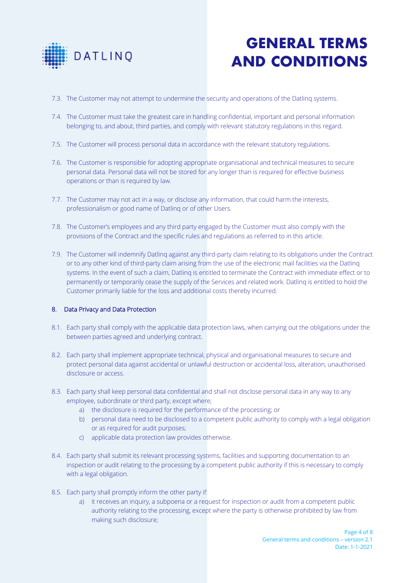

- 7.3. The Customer may not attempt to undermine the security and operations of the Datlinq systems.
- 7.4. The Customer must take the greatest care in handling confidential, important and personal information belonging to, and about, third parties, and comply with relevant statutory regulations in this regard.
- 7.5. The Customer will process personal data in accordance with the relevant statutory regulations.
- 7.6. The Customer is responsible for adopting appropriate organisational and technical measures to secure personal data. Personal data will not be stored for any longer than is required for effective business operations or than is required by law.
- 7.7. The Customer may not act in a way, or disclose any information, that could harm the interests, professionalism or good name of Datlinq or of other Users.
- 7.8. The Customer's employees and any third party engaged by the Customer must also comply with the provisions of the Contract and the specific rules and regulations as referred to in this article.
- 7.9. The Customer will indemnify Datlinq against any third-party claim relating to its obligations under the Contract or to any other kind of third-party claim arising from the use of the electronic mail facilities via the Datlinq systems. In the event of such a claim, Datlinq is entitled to terminate the Contract with immediate effect or to permanently or temporarily cease the supply of the Services and related work. Datlinq is entitled to hold the Customer primarily liable for the loss and additional costs thereby incurred.

### 8. Data Privacy and Data Protection

- 8.1. Each party shall comply with the applicable data protection laws, when carrying out the obligations under the between parties agreed and underlying contract.
- 8.2. Each party shall implement appropriate technical, physical and organisational measures to secure and protect personal data against accidental or unlawful destruction or accidental loss, alteration, unauthorised disclosure or access.
- 8.3. Each party shall keep personal data confidential and shall not disclose personal data in any way to any employee, subordinate or third party, except where;
	- a) the disclosure is required for the performance of the processing; or
	- b) personal data need to be disclosed to a competent public authority to comply with a legal obligation or as required for audit purposes;
	- c) applicable data protection law provides otherwise.
- 8.4. Each party shall submit its relevant processing systems, facilities and supporting documentation to an inspection or audit relating to the processing by a competent public authority if this is necessary to comply with a legal obligation.
- 8.5. Each party shall promptly inform the other party if:
	- a) it receives an inquiry, a subpoena or a request for inspection or audit from a competent public authority relating to the processing, except where the party is otherwise prohibited by law from making such disclosure;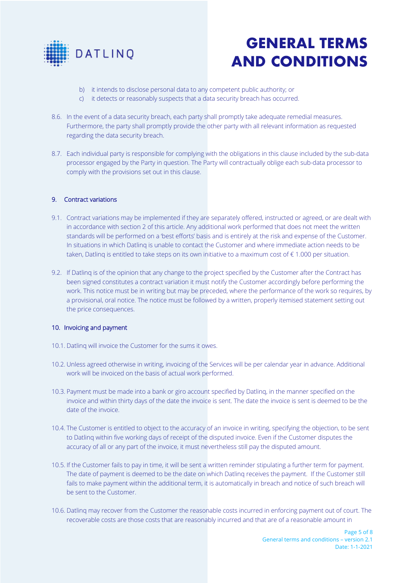

- b) it intends to disclose personal data to any competent public authority; or
- c) it detects or reasonably suspects that a data security breach has occurred.
- 8.6. In the event of a data security breach, each party shall promptly take adequate remedial measures. Furthermore, the party shall promptly provide the other party with all relevant information as requested regarding the data security breach.
- 8.7. Each individual party is responsible for complying with the obligations in this clause included by the sub-data processor engaged by the Party in question. The Party will contractually oblige each sub-data processor to comply with the provisions set out in this clause.

### 9. Contract variations

- 9.1. Contract variations may be implemented if they are separately offered, instructed or agreed, or are dealt with in accordance with section 2 of this article. Any additional work performed that does not meet the written standards will be performed on a 'best efforts' basis and is entirely at the risk and expense of the Customer. In situations in which Datlinq is unable to contact the Customer and where immediate action needs to be taken, Datling is entitled to take steps on its own initiative to a maximum cost of  $\epsilon$  1.000 per situation.
- 9.2. If Datlinq is of the opinion that any change to the project specified by the Customer after the Contract has been signed constitutes a contract variation it must notify the Customer accordingly before performing the work. This notice must be in writing but may be preceded, where the performance of the work so requires, by a provisional, oral notice. The notice must be followed by a written, properly itemised statement setting out the price consequences.

### 10. Invoicing and payment

- 10.1. Datlinq will invoice the Customer for the sums it owes.
- 10.2. Unless agreed otherwise in writing, invoicing of the Services will be per calendar year in advance. Additional work will be invoiced on the basis of actual work performed.
- 10.3. Payment must be made into a bank or giro account specified by Datlinq, in the manner specified on the invoice and within thirty days of the date the invoice is sent. The date the invoice is sent is deemed to be the date of the invoice.
- 10.4. The Customer is entitled to object to the accuracy of an invoice in writing, specifying the objection, to be sent to Datlinq within five working days of receipt of the disputed invoice. Even if the Customer disputes the accuracy of all or any part of the invoice, it must nevertheless still pay the disputed amount.
- 10.5. If the Customer fails to pay in time, it will be sent a written reminder stipulating a further term for payment. The date of payment is deemed to be the date on which Datlinq receives the payment. If the Customer still fails to make payment within the additional term, it is automatically in breach and notice of such breach will be sent to the Customer.
- 10.6. Datlinq may recover from the Customer the reasonable costs incurred in enforcing payment out of court. The recoverable costs are those costs that are reasonably incurred and that are of a reasonable amount in

Page 5 of 8 General terms and conditions – version 2.1 Date: 1-1-2021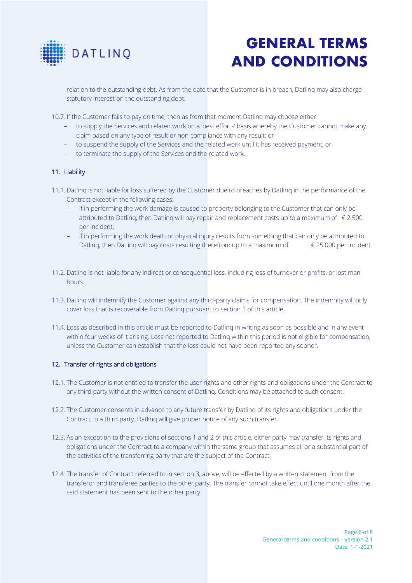

relation to the outstanding debt. As from the date that the Customer is in breach, Datlinq may also charge statutory interest on the outstanding debt.

10.7. If the Customer fails to pay on time, then as from that moment Datlinq may choose either:

- to supply the Services and related work on a 'best efforts' basis whereby the Customer cannot make any claim based on any type of result or non-compliance with any result; or
- to suspend the supply of the Services and the related work until it has received payment; or
- to terminate the supply of the Services and the related work.

### 11. Liability

- 11.1. Datlinq is not liable for loss suffered by the Customer due to breaches by Datlinq in the performance of the Contract except in the following cases:
	- if in performing the work damage is caused to property belonging to the Customer that can only be attributed to Datling, then Datling will pay repair and replacement costs up to a maximum of  $\epsilon$  2.500 per incident;
	- if in performing the work death or physical injury results from something that can only be attributed to Datling, then Datling will pay costs resulting therefrom up to a maximum of  $\epsilon$  25.000 per incident.
- 11.2. Datlinq is not liable for any indirect or consequential loss, including loss of turnover or profits, or lost man hours.
- 11.3. Datlinq will indemnify the Customer against any third-party claims for compensation. The indemnity will only cover loss that is recoverable from Datlinq pursuant to section 1 of this article.
- 11.4. Loss as described in this article must be reported to Datlinq in writing as soon as possible and in any event within four weeks of it arising. Loss not reported to Datlinq within this period is not eligible for compensation, unless the Customer can establish that the loss could not have been reported any sooner.

#### 12. Transfer of rights and obligations

- 12.1. The Customer is not entitled to transfer the user rights and other rights and obligations under the Contract to any third party without the written consent of Datlinq. Conditions may be attached to such consent.
- 12.2. The Customer consents in advance to any future transfer by Datlinq of its rights and obligations under the Contract to a third party. Datlinq will give proper notice of any such transfer.
- 12.3. As an exception to the provisions of sections 1 and 2 of this article, either party may transfer its rights and obligations under the Contract to a company within the same group that assumes all or a substantial part of the activities of the transferring party that are the subject of the Contract.
- 12.4. The transfer of Contract referred to in section 3, above, will be effected by a written statement from the transferor and transferee parties to the other party. The transfer cannot take effect until one month after the said statement has been sent to the other party.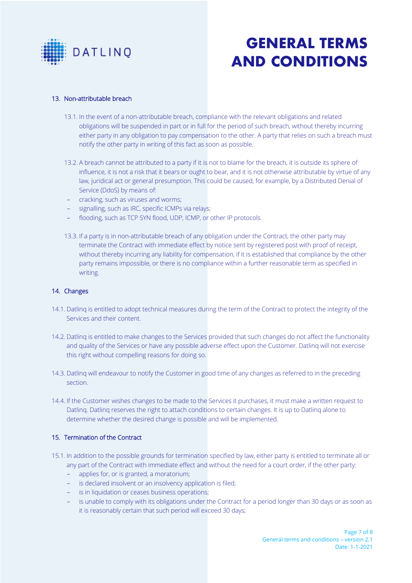

### 13. Non-attributable breach

- 13.1. In the event of a non-attributable breach, compliance with the relevant obligations and related obligations will be suspended in part or in full for the period of such breach, without thereby incurring either party in any obligation to pay compensation to the other. A party that relies on such a breach must notify the other party in writing of this fact as soon as possible.
- 13.2. A breach cannot be attributed to a party if it is not to blame for the breach, it is outside its sphere of influence, it is not a risk that it bears or ought to bear, and it is not otherwise attributable by virtue of any law, juridical act or general presumption. This could be caused, for example, by a Distributed Denial of Service (DdoS) by means of:
- cracking, such as viruses and worms;
- signalling, such as IRC, specific ICMPs via relays;
- flooding, such as TCP SYN flood, UDP, ICMP, or other IP protocols.
- 13.3. If a party is in non-attributable breach of any obligation under the Contract, the other party may terminate the Contract with immediate effect by notice sent by registered post with proof of receipt, without thereby incurring any liability for compensation, if it is established that compliance by the other party remains impossible, or there is no compliance within a further reasonable term as specified in writing.

#### 14. Changes

- 14.1. Datlinq is entitled to adopt technical measures during the term of the Contract to protect the integrity of the Services and their content.
- 14.2. Datling is entitled to make changes to the Services provided that such changes do not affect the functionality and quality of the Services or have any possible adverse effect upon the Customer. Datlinq will not exercise this right without compelling reasons for doing so.
- 14.3. Datlinq will endeavour to notify the Customer in good time of any changes as referred to in the preceding section.
- 14.4. If the Customer wishes changes to be made to the Services it purchases, it must make a written request to Datlinq. Datlinq reserves the right to attach conditions to certain changes. It is up to Datlinq alone to determine whether the desired change is possible and will be implemented.

#### 15. Termination of the Contract

- 15.1. In addition to the possible grounds for termination specified by law, either party is entitled to terminate all or any part of the Contract with immediate effect and without the need for a court order, if the other party:
	- applies for, or is granted, a moratorium;
	- is declared insolvent or an insolvency application is filed;
	- is in liquidation or ceases business operations;
	- is unable to comply with its obligations under the Contract for a period longer than 30 days or as soon as it is reasonably certain that such period will exceed 30 days;